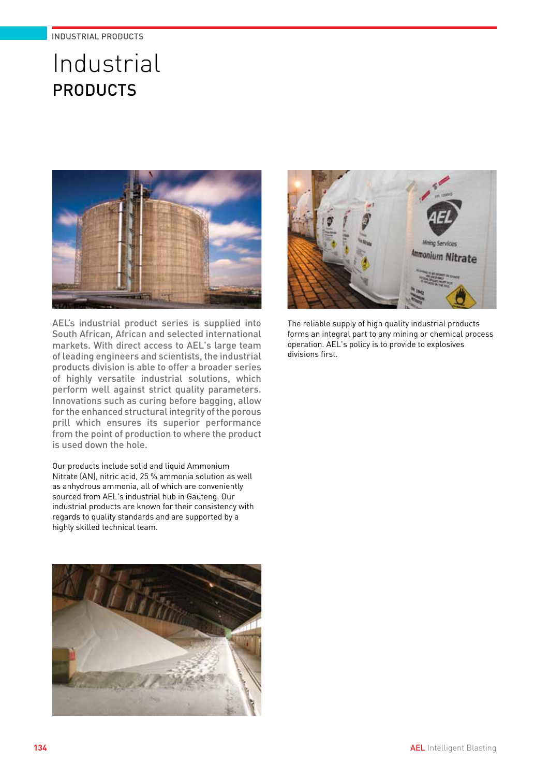# Industrial PRODUCTS



AEL's industrial product series is supplied into South African, African and selected international markets. With direct access to AEL's large team of leading engineers and scientists, the industrial products division is able to offer a broader series of highly versatile industrial solutions, which perform well against strict quality parameters. Innovations such as curing before bagging, allow for the enhanced structural integrity of the porous prill which ensures its superior performance from the point of production to where the product is used down the hole.

Our products include solid and liquid Ammonium Nitrate (AN), nitric acid, 25 % ammonia solution as well as anhydrous ammonia, all of which are conveniently sourced from AEL's industrial hub in Gauteng. Our industrial products are known for their consistency with regards to quality standards and are supported by a highly skilled technical team.





The reliable supply of high quality industrial products forms an integral part to any mining or chemical process operation. AEL's policy is to provide to explosives divisions first.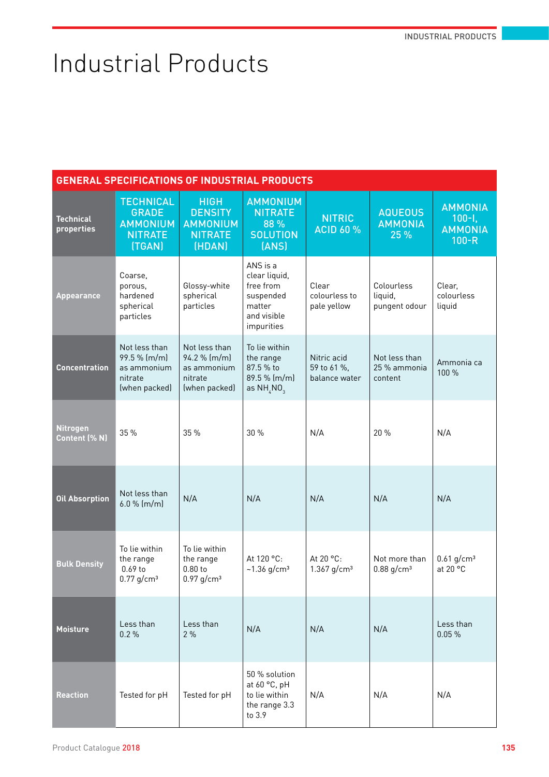# Industrial Products

| <b>GENERAL SPECIFICATIONS OF INDUSTRIAL PRODUCTS</b> |                                                                                 |                                                                              |                                                                                            |                                             |                                           |                                                           |
|------------------------------------------------------|---------------------------------------------------------------------------------|------------------------------------------------------------------------------|--------------------------------------------------------------------------------------------|---------------------------------------------|-------------------------------------------|-----------------------------------------------------------|
| <b>Technical</b><br>properties                       | <b>TECHNICAL</b><br><b>GRADE</b><br><b>AMMONIUM</b><br><b>NITRATE</b><br>(TGAN) | <b>HIGH</b><br><b>DENSITY</b><br><b>AMMONIUM</b><br><b>NITRATE</b><br>(HDAN) | <b>AMMONIUM</b><br><b>NITRATE</b><br>88 %<br><b>SOLUTION</b><br>(ANS)                      | <b>NITRIC</b><br><b>ACID 60 %</b>           | <b>AQUEOUS</b><br><b>AMMONIA</b><br>25 %  | <b>AMMONIA</b><br>$100 - 1,$<br><b>AMMONIA</b><br>$100-R$ |
| <b>Appearance</b>                                    | Coarse,<br>porous,<br>hardened<br>spherical<br>particles                        | Glossy-white<br>spherical<br>particles                                       | ANS is a<br>clear liquid,<br>free from<br>suspended<br>matter<br>and visible<br>impurities | Clear<br>colourless to<br>pale yellow       | Colourless<br>liquid,<br>pungent odour    | Clear,<br>colourless<br>liquid                            |
| <b>Concentration</b>                                 | Not less than<br>99.5 % (m/m)<br>as ammonium<br>nitrate<br>(when packed)        | Not less than<br>94.2 % (m/m)<br>as ammonium<br>nitrate<br>(when packed)     | To lie within<br>the range<br>87.5 % to<br>89.5 % (m/m)<br>as $NH_{\lambda}NO_{3}$         | Nitric acid<br>59 to 61 %,<br>balance water | Not less than<br>25 % ammonia<br>content  | Ammonia ca<br>100 %                                       |
| <b>Nitrogen</b><br>Content (% N)                     | 35 %                                                                            | 35 %                                                                         | 30 %                                                                                       | N/A                                         | 20 %                                      | N/A                                                       |
| <b>Oil Absorption</b>                                | Not less than<br>$6.0\%$ (m/m)                                                  | N/A                                                                          | N/A                                                                                        | N/A                                         | N/A                                       | N/A                                                       |
| <b>Bulk Density</b>                                  | To lie within<br>the range<br>$0.69$ to<br>$0.77$ g/cm <sup>3</sup>             | To lie within<br>the range<br>$0.80$ to<br>$0.97$ g/cm <sup>3</sup>          | At 120 °C:<br>~1.36 $g/cm^3$                                                               | At 20 °C:<br>$1.367$ g/cm <sup>3</sup>      | Not more than<br>$0.88$ g/cm <sup>3</sup> | $0.61$ g/cm <sup>3</sup><br>at 20 °C                      |
| <b>Moisture</b>                                      | Less than<br>0.2%                                                               | Less than<br>2%                                                              | N/A                                                                                        | N/A                                         | N/A                                       | Less than<br>0.05%                                        |
| <b>Reaction</b>                                      | Tested for pH                                                                   | Tested for pH                                                                | 50 % solution<br>at 60 °C, pH<br>to lie within<br>the range 3.3<br>to 3.9                  | N/A                                         | N/A                                       | N/A                                                       |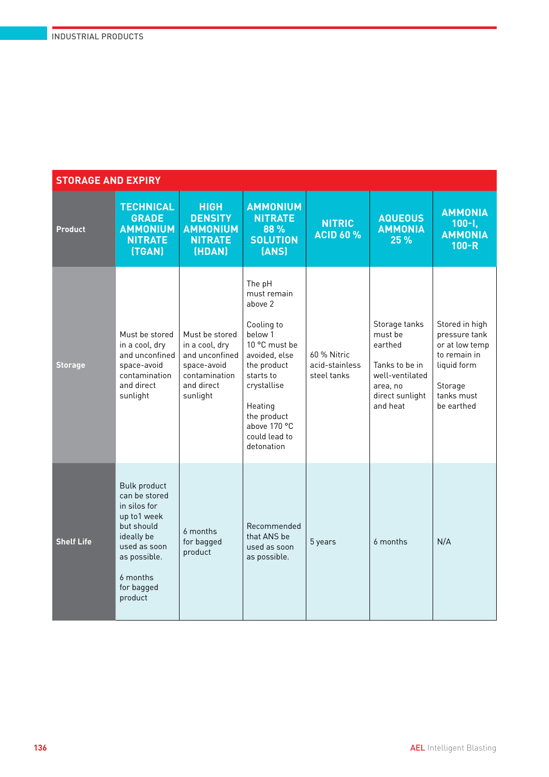| <b>STORAGE AND EXPIRY</b> |                                                                                                                                                                      |                                                                                                              |                                                                                                                                                                                                                 |                                              |                                                                                                                     |                                                                                                                         |  |  |
|---------------------------|----------------------------------------------------------------------------------------------------------------------------------------------------------------------|--------------------------------------------------------------------------------------------------------------|-----------------------------------------------------------------------------------------------------------------------------------------------------------------------------------------------------------------|----------------------------------------------|---------------------------------------------------------------------------------------------------------------------|-------------------------------------------------------------------------------------------------------------------------|--|--|
| <b>Product</b>            | <b>TECHNICAL</b><br><b>GRADE</b><br><b>AMMONIUM</b><br><b>NITRATE</b><br>(TGAN)                                                                                      | <b>HIGH</b><br><b>DENSITY</b><br><b>AMMONIUM</b><br><b>NITRATE</b><br>(HDAN)                                 | <b>AMMONIUM</b><br><b>NITRATE</b><br>88 %<br><b>SOLUTION</b><br>(ANS)                                                                                                                                           | <b>NITRIC</b><br><b>ACID 60 %</b>            | <b>AQUEOUS</b><br><b>AMMONIA</b><br>25 %                                                                            | <b>AMMONIA</b><br>$100 - 1$<br><b>AMMONIA</b><br>$100-R$                                                                |  |  |
| <b>Storage</b>            | Must be stored<br>in a cool, dry<br>and unconfined<br>space-avoid<br>contamination<br>and direct<br>sunlight                                                         | Must be stored<br>in a cool, dry<br>and unconfined<br>space-avoid<br>contamination<br>and direct<br>sunlight | The pH<br>must remain<br>above 2<br>Cooling to<br>below 1<br>10 °C must be<br>avoided, else<br>the product<br>starts to<br>crystallise<br>Heating<br>the product<br>above 170 °C<br>could lead to<br>detonation | 60 % Nitric<br>acid-stainless<br>steel tanks | Storage tanks<br>must be<br>earthed<br>Tanks to be in<br>well-ventilated<br>area, no<br>direct sunlight<br>and heat | Stored in high<br>pressure tank<br>or at low temp<br>to remain in<br>liquid form<br>Storage<br>tanks must<br>be earthed |  |  |
| <b>Shelf Life</b>         | <b>Bulk product</b><br>can be stored<br>in silos for<br>up to1 week<br>but should<br>ideally be<br>used as soon<br>as possible.<br>6 months<br>for bagged<br>product | 6 months<br>for bagged<br>product                                                                            | Recommended<br>that ANS be<br>used as soon<br>as possible.                                                                                                                                                      | 5 years                                      | 6 months                                                                                                            | N/A                                                                                                                     |  |  |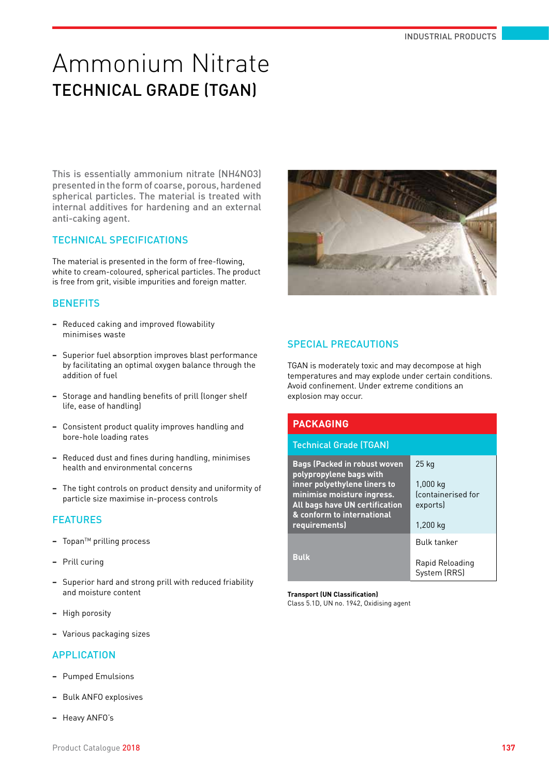# Ammonium Nitrate TECHNICAL GRADE (TGAN)

This is essentially ammonium nitrate (NH4NO3) presented in the form of coarse, porous, hardened spherical particles. The material is treated with internal additives for hardening and an external anti-caking agent.

#### TECHNICAL SPECIFICATIONS

The material is presented in the form of free-flowing, white to cream-coloured, spherical particles. The product is free from grit, visible impurities and foreign matter.

#### **BENEFITS**

- **−** Reduced caking and improved flowability minimises waste
- **−** Superior fuel absorption improves blast performance by facilitating an optimal oxygen balance through the addition of fuel
- **−** Storage and handling benefits of prill (longer shelf life, ease of handling)
- **−** Consistent product quality improves handling and bore-hole loading rates
- **−** Reduced dust and fines during handling, minimises health and environmental concerns
- **−** The tight controls on product density and uniformity of particle size maximise in-process controls

### FEATURES

- **−** TopanTM prilling process
- **−** Prill curing
- **−** Superior hard and strong prill with reduced friability and moisture content
- **−** High porosity
- **−** Various packaging sizes

#### APPLICATION

- **−** Pumped Emulsions
- **−** Bulk ANFO explosives
- **−** Heavy ANFO's



#### SPECIAL PRECAUTIONS

TGAN is moderately toxic and may decompose at high temperatures and may explode under certain conditions. Avoid confinement. Under extreme conditions an explosion may occur.

| <b>PACKAGING</b>                                                    |                    |  |  |  |  |
|---------------------------------------------------------------------|--------------------|--|--|--|--|
| <b>Technical Grade (TGAN)</b>                                       |                    |  |  |  |  |
| <b>Bags (Packed in robust woven</b><br>polypropylene bags with      | $25$ kg            |  |  |  |  |
| inner polyethylene liners to                                        | 1,000 kg           |  |  |  |  |
| minimise moisture ingress.                                          | fcontainerised for |  |  |  |  |
| <b>All bags have UN certification</b><br>& conform to international | exports)           |  |  |  |  |
| requirements)                                                       | 1,200 kg           |  |  |  |  |
|                                                                     | <b>Bulk tanker</b> |  |  |  |  |
| <b>Bulk</b>                                                         | Rapid Reloading    |  |  |  |  |
|                                                                     | System (RRS)       |  |  |  |  |

#### **Transport (UN Classification)**

Class 5.1D, UN no. 1942, Oxidising agent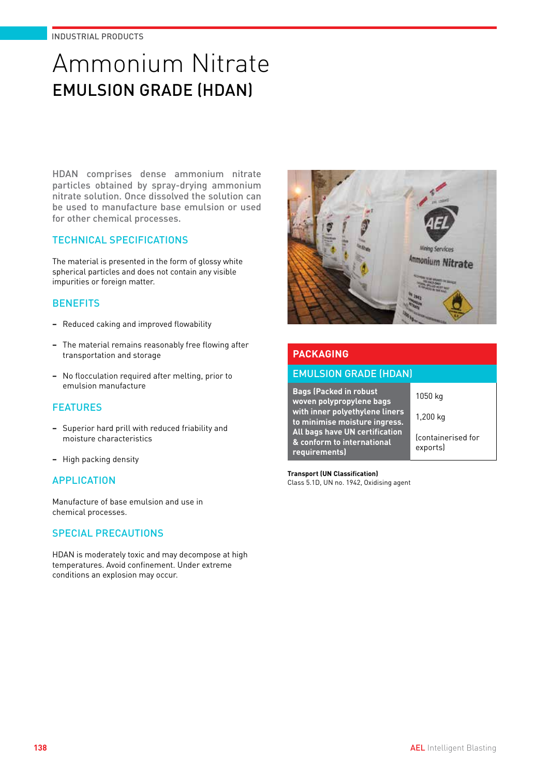# Ammonium Nitrate EMULSION GRADE (HDAN)

HDAN comprises dense ammonium nitrate particles obtained by spray-drying ammonium nitrate solution. Once dissolved the solution can be used to manufacture base emulsion or used for other chemical processes.

## TECHNICAL SPECIFICATIONS

The material is presented in the form of glossy white spherical particles and does not contain any visible impurities or foreign matter.

## **BENEFITS**

- **−** Reduced caking and improved flowability
- **−** The material remains reasonably free flowing after transportation and storage
- **−** No flocculation required after melting, prior to emulsion manufacture

# **FEATURES**

- **−** Superior hard prill with reduced friability and moisture characteristics
- **−** High packing density

### **APPLICATION**

Manufacture of base emulsion and use in chemical processes.

### SPECIAL PRECAUTIONS

HDAN is moderately toxic and may decompose at high temperatures. Avoid confinement. Under extreme conditions an explosion may occur.



## **PACKAGING**

#### EMULSION GRADE (HDAN)

**Bags (Packed in robust woven polypropylene bags with inner polyethylene liners to minimise moisture ingress. All bags have UN certification & conform to international requirements)**

1050 kg 1,200 kg

(containerised for exports)

**Transport (UN Classification)** Class 5.1D, UN no. 1942, Oxidising agent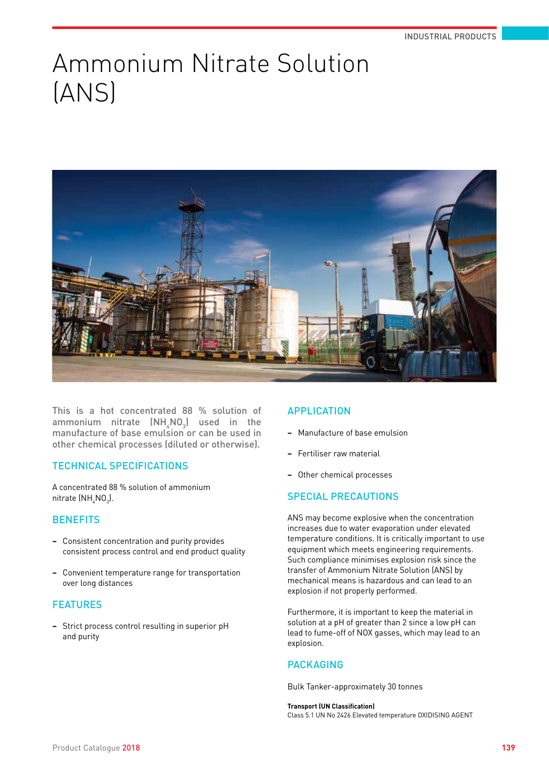# Ammonium Nitrate Solution (ANS)



This is a hot concentrated 88 % solution of ammonium nitrate  $\mathsf{(NH}_4\mathsf{NO}_3\mathsf{)}$  used in the manufacture of base emulsion or can be used in other chemical processes (diluted or otherwise).

# TECHNICAL SPECIFICATIONS

A concentrated 88 % solution of ammonium nitrate (NH $_{\rm 4}$ NO $_{\rm 3}$ ).

### **BENEFITS**

- **−** Consistent concentration and purity provides consistent process control and end product quality
- **−** Convenient temperature range for transportation over long distances

### FEATURES

**−** Strict process control resulting in superior pH and purity

### APPLICATION

- **−** Manufacture of base emulsion
- **−** Fertiliser raw material
- **−** Other chemical processes

# SPECIAL PRECAUTIONS

ANS may become explosive when the concentration increases due to water evaporation under elevated temperature conditions. It is critically important to use equipment which meets engineering requirements. Such compliance minimises explosion risk since the transfer of Ammonium Nitrate Solution (ANS) by mechanical means is hazardous and can lead to an explosion if not properly performed.

Furthermore, it is important to keep the material in solution at a pH of greater than 2 since a low pH can lead to fume-off of NOX gasses, which may lead to an explosion.

### PACKAGING

Bulk Tanker-approximately 30 tonnes

#### **Transport (UN Classification)**

Class 5.1 UN No 2426 Elevated temperature OXIDISING AGENT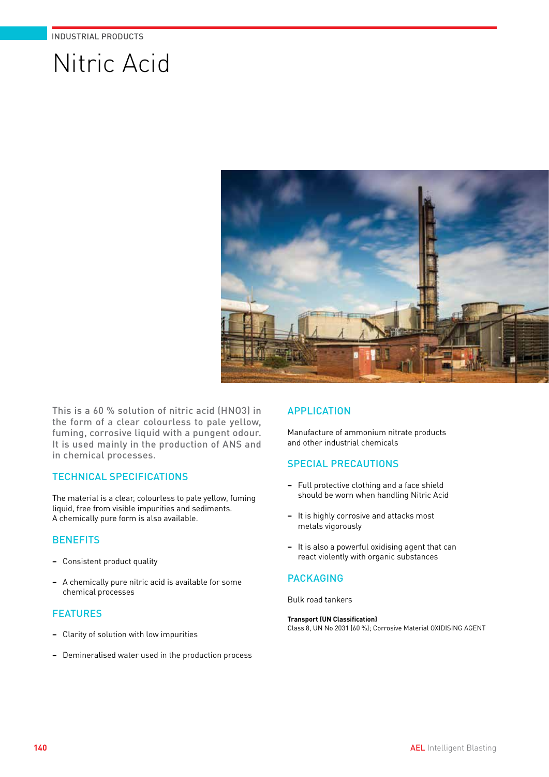# Nitric Acid



This is a 60 % solution of nitric acid (HNO3) in the form of a clear colourless to pale yellow, fuming, corrosive liquid with a pungent odour. It is used mainly in the production of ANS and in chemical processes.

#### TECHNICAL SPECIFICATIONS

The material is a clear, colourless to pale yellow, fuming liquid, free from visible impurities and sediments. A chemically pure form is also available.

### **BENEFITS**

- **−** Consistent product quality
- **−** A chemically pure nitric acid is available for some chemical processes

#### **FEATURES**

- **−** Clarity of solution with low impurities
- **−** Demineralised water used in the production process

### **APPLICATION**

Manufacture of ammonium nitrate products and other industrial chemicals

### SPECIAL PRECAUTIONS

- **−** Full protective clothing and a face shield should be worn when handling Nitric Acid
- **−** It is highly corrosive and attacks most metals vigorously
- **−** It is also a powerful oxidising agent that can react violently with organic substances

### PACKAGING

Bulk road tankers

#### **Transport (UN Classification)**

Class 8, UN No 2031 (60 %); Corrosive Material OXIDISING AGENT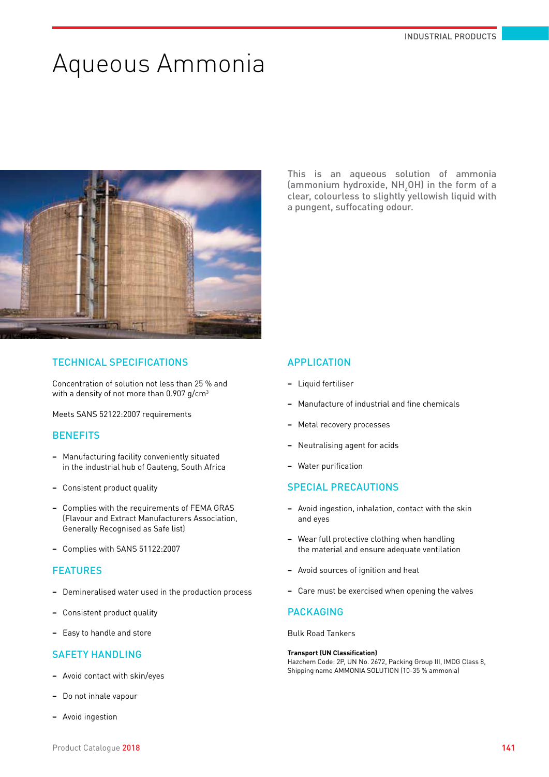# Aqueous Ammonia



#### TECHNICAL SPECIFICATIONS

Concentration of solution not less than 25 % and with a density of not more than 0.907 g/cm<sup>3</sup>

Meets SANS 52122:2007 requirements

#### **BENEFITS**

- **−** Manufacturing facility conveniently situated in the industrial hub of Gauteng, South Africa
- **−** Consistent product quality
- **−** Complies with the requirements of FEMA GRAS (Flavour and Extract Manufacturers Association, Generally Recognised as Safe list)
- **−** Complies with SANS 51122:2007

#### **FEATURES**

- **−** Demineralised water used in the production process
- **−** Consistent product quality
- **−** Easy to handle and store

#### SAFETY HANDLING

- **−** Avoid contact with skin/eyes
- **−** Do not inhale vapour
- **−** Avoid ingestion

This is an aqueous solution of ammonia (ammonium hydroxide,  $NH_4$ OH) in the form of a clear, colourless to slightly yellowish liquid with a pungent, suffocating odour.

#### APPLICATION

- **−** Liquid fertiliser
- **−** Manufacture of industrial and fine chemicals
- **−** Metal recovery processes
- **−** Neutralising agent for acids
- **−** Water purification

#### SPECIAL PRECAUTIONS

- **−** Avoid ingestion, inhalation, contact with the skin and eyes
- **−** Wear full protective clothing when handling the material and ensure adequate ventilation
- **−** Avoid sources of ignition and heat
- **−** Care must be exercised when opening the valves

### PACKAGING

Bulk Road Tankers

#### **Transport (UN Classification)**

Hazchem Code: 2P, UN No. 2672, Packing Group III, IMDG Class 8, Shipping name AMMONIA SOLUTION (10-35 % ammonia)